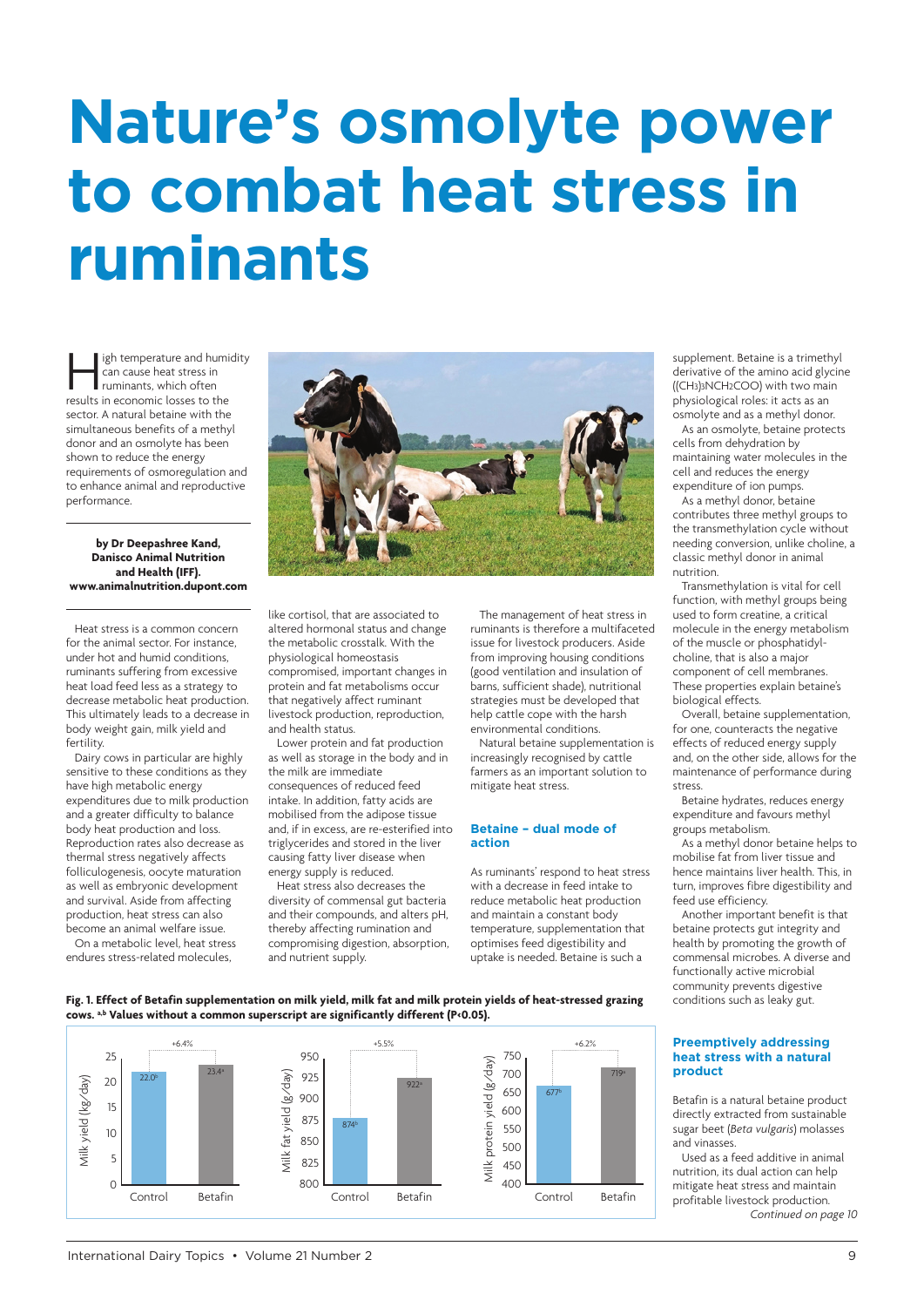# **Nature's osmolyte power to combat heat stress in ruminants**

igh temperature and humidity can cause heat stress in ruminants, which often results in economic losses to the sector. A natural betaine with the simultaneous benefits of a methyl donor and an osmolyte has been shown to reduce the energy requirements of osmoregulation and to enhance animal and reproductive performance.

### **by Dr Deepashree Kand, Danisco Animal Nutrition and Health (IFF). www.animalnutrition.dupont.com**

Heat stress is a common concern for the animal sector. For instance, [under hot and humid conditions,](https://www.animalnutrition.dupont.com) ruminants suffering from excessive heat load feed less as a strategy to decrease metabolic heat production. This ultimately leads to a decrease in body weight gain, milk yield and fertility.

Dairy cows in particular are highly sensitive to these conditions as they have high metabolic energy expenditures due to milk production and a greater difficulty to balance body heat production and loss. Reproduction rates also decrease as thermal stress negatively affects folliculogenesis, oocyte maturation as well as embryonic development and survival. Aside from affecting production, heat stress can also become an animal welfare issue.

On a metabolic level, heat stress endures stress-related molecules,



like cortisol, that are associated to altered hormonal status and change the metabolic crosstalk. With the physiological homeostasis compromised, important changes in protein and fat metabolisms occur that negatively affect ruminant livestock production, reproduction, and health status.

Lower protein and fat production as well as storage in the body and in the milk are immediate consequences of reduced feed intake. In addition, fatty acids are mobilised from the adipose tissue and, if in excess, are re-esterified into triglycerides and stored in the liver causing fatty liver disease when energy supply is reduced.

Heat stress also decreases the diversity of commensal gut bacteria and their compounds, and alters pH, thereby affecting rumination and compromising digestion, absorption, and nutrient supply.

The management of heat stress in ruminants is therefore a multifaceted issue for livestock producers. Aside from improving housing conditions (good ventilation and insulation of barns, sufficient shade), nutritional strategies must be developed that help cattle cope with the harsh environmental conditions.

Natural betaine supplementation is increasingly recognised by cattle farmers as an important solution to mitigate heat stress.

## **Betaine – dual mode of action**

As ruminants' respond to heat stress with a decrease in feed intake to reduce metabolic heat production and maintain a constant body temperature, supplementation that optimises feed digestibility and uptake is needed. Betaine is such a

supplement. Betaine is a trimethyl derivative of the amino acid glycine ((CH3)3NCH2COO) with two main physiological roles: it acts as an osmolyte and as a methyl donor.

As an osmolyte, betaine protects cells from dehydration by maintaining water molecules in the cell and reduces the energy expenditure of ion pumps.

As a methyl donor, betaine contributes three methyl groups to the transmethylation cycle without needing conversion, unlike choline, a classic methyl donor in animal nutrition.

Transmethylation is vital for cell function, with methyl groups being used to form creatine, a critical molecule in the energy metabolism of the muscle or phosphatidylcholine, that is also a major component of cell membranes. These properties explain betaine's biological effects.

Overall, betaine supplementation, for one, counteracts the negative effects of reduced energy supply and, on the other side, allows for the maintenance of performance during stress.

Betaine hydrates, reduces energy expenditure and favours methyl groups metabolism.

As a methyl donor betaine helps to mobilise fat from liver tissue and hence maintains liver health. This, in turn, improves fibre digestibility and feed use efficiency.

Another important benefit is that betaine protects gut integrity and health by promoting the growth of commensal microbes. A diverse and functionally active microbial community prevents digestive conditions such as leaky gut.

### **Preemptively addressing heat stress with a natural product**

Betafin is a natural betaine product directly extracted from sustainable sugar beet (*Beta vulgaris*) molasses and vinasses.

Used as a feed additive in animal nutrition, its dual action can help mitigate heat stress and maintain profitable livestock production. *Continued on page 10*

# **Fig. 1. Effect of Betafin supplementation on milk yield, milk fat and milk protein yields of heat-stressed grazing cows. a,b Values without a common superscript are significantly different (P<0.05).**